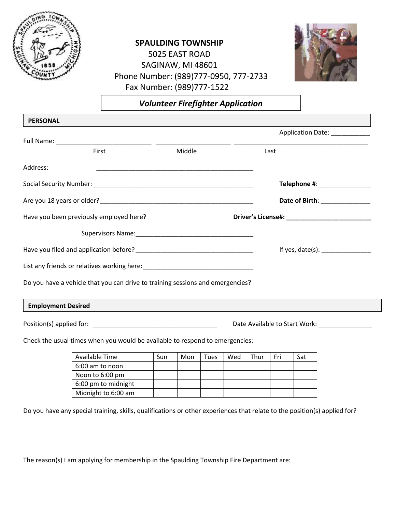

## **SPAULDING TOWNSHIP**

5025 EAST ROAD SAGINAW, MI 48601 Phone Number: (989)777-0950, 777-2733 Fax Number: (989)777-1522



*Volunteer Firefighter Application*

| <b>PERSONAL</b>                                                                |        |                                                   |
|--------------------------------------------------------------------------------|--------|---------------------------------------------------|
|                                                                                |        | Application Date: ____________                    |
|                                                                                |        |                                                   |
| First                                                                          | Middle | Last                                              |
| Address:                                                                       |        |                                                   |
|                                                                                |        | Telephone #: ________________                     |
|                                                                                |        | Date of Birth: _____________                      |
| Have you been previously employed here?                                        |        |                                                   |
|                                                                                |        |                                                   |
|                                                                                |        | If yes, date(s): _______________                  |
|                                                                                |        |                                                   |
| Do you have a vehicle that you can drive to training sessions and emergencies? |        |                                                   |
| <b>Employment Desired</b>                                                      |        |                                                   |
|                                                                                |        | Date Available to Start Work: ___________________ |

Check the usual times when you would be available to respond to emergencies:

| Available Time      | Sun | Mon | Tues | Wed | Thur | Fri | Sat |
|---------------------|-----|-----|------|-----|------|-----|-----|
| 6:00 am to noon     |     |     |      |     |      |     |     |
| Noon to 6:00 pm     |     |     |      |     |      |     |     |
| 6:00 pm to midnight |     |     |      |     |      |     |     |
| Midnight to 6:00 am |     |     |      |     |      |     |     |

Do you have any special training, skills, qualifications or other experiences that relate to the position(s) applied for?

The reason(s) I am applying for membership in the Spaulding Township Fire Department are: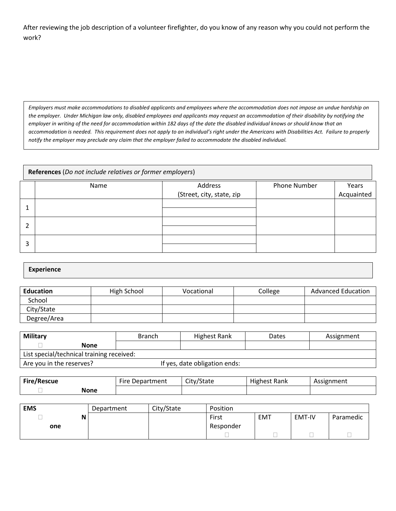After reviewing the job description of a volunteer firefighter, do you know of any reason why you could not perform the work?

*Employers must make accommodations to disabled applicants and employees where the accommodation does not impose an undue hardship on the employer. Under Michigan law only, disabled employees and applicants may request an accommodation of their disability by notifying the employer in writing of the need for accommodation within 182 days of the date the disabled individual knows or should know that an accommodation is needed. This requirement does not apply to an individual's right under the Americans with Disabilities Act. Failure to properly notify the employer may preclude any claim that the employer failed to accommodate the disabled individual.*

|   | References (Do not include relatives or former employers) |                           |              |            |  |  |  |
|---|-----------------------------------------------------------|---------------------------|--------------|------------|--|--|--|
|   | Name                                                      | Address                   | Phone Number | Years      |  |  |  |
|   |                                                           | (Street, city, state, zip |              | Acquainted |  |  |  |
|   |                                                           |                           |              |            |  |  |  |
| 2 |                                                           |                           |              |            |  |  |  |
| 3 |                                                           |                           |              |            |  |  |  |

## **Experience**

| <b>Education</b> | High School | Vocational | College | <b>Advanced Education</b> |
|------------------|-------------|------------|---------|---------------------------|
| School           |             |            |         |                           |
| City/State       |             |            |         |                           |
| Degree/Area      |             |            |         |                           |

| <b>Military</b>                           | <b>Branch</b> | Highest Rank                  | Dates | Assignment |  |  |
|-------------------------------------------|---------------|-------------------------------|-------|------------|--|--|
| None                                      |               |                               |       |            |  |  |
| List special/technical training received: |               |                               |       |            |  |  |
| Are you in the reserves?                  |               | If yes, date obligation ends: |       |            |  |  |

| <b>Fire/Rescue</b> | Fire<br>Department • | City/State | .<br>Rank<br>Highest | Assignment |
|--------------------|----------------------|------------|----------------------|------------|
| None               |                      |            |                      |            |

| <b>EMS</b> | Department | City/State | Position  |            |               |           |
|------------|------------|------------|-----------|------------|---------------|-----------|
|            |            |            | First     | <b>EMT</b> | <b>EMT-IV</b> | Paramedic |
| one        |            |            | Responder |            |               |           |
|            |            |            |           |            |               |           |